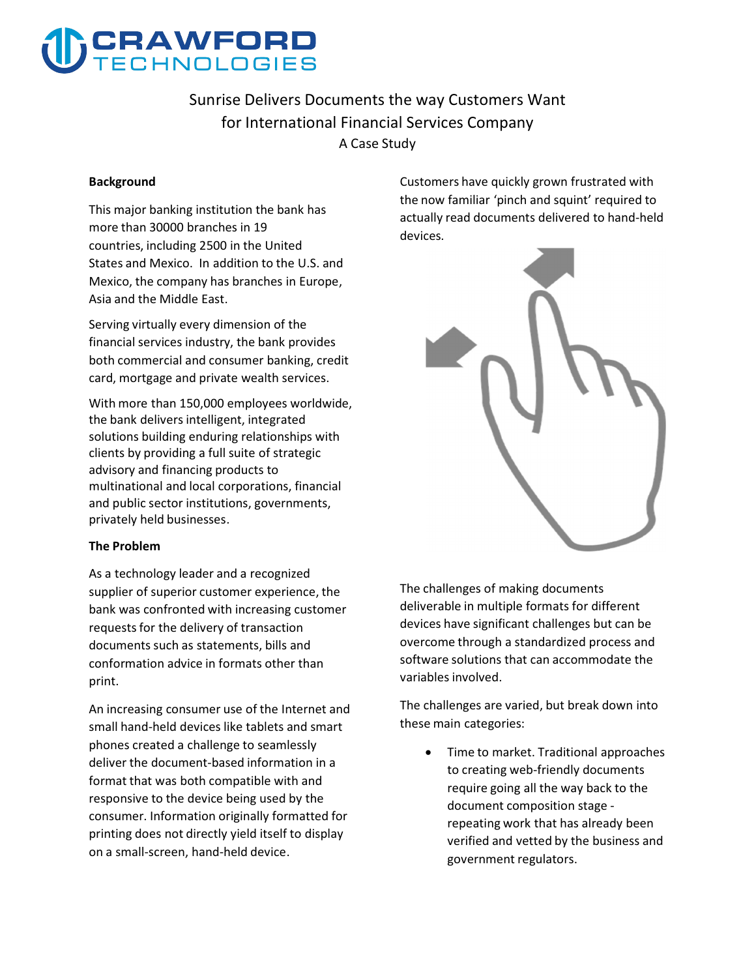

## **Sunrise Delivers Documents the way Customers Want for International Financial Services Company A Case Study**

#### **Background**

**This major banking institution the bank has more than 30000 branches in 19 countries, including 2500 in the United States and Mexico. In addition to the U.S. and Mexico, the company has branches in Europe, Asia and the Middle East.** 

**Serving virtually every dimension of the financial services industry, the bank provides both commercial and consumer banking, credit card, mortgage and private wealth services.** 

**With more than 150,000 employees worldwide, the bank delivers intelligent, integrated solutions building enduring relationships with clients by providing a full suite of strategic advisory and financing products to multinational and local corporations, financial and public sector institutions, governments, privately held businesses.** 

#### **The Problem**

**As a technology leader and a recognized supplier of superior customer experience, the bank was confronted with increasing customer requests for the delivery of transaction documents such as statements, bills and conformation advice in formats other than print.** 

**An increasing consumer use of the Internet and small hand-held devices like tablets and smart phones created a challenge to seamlessly deliver the document-based information in a format that was both compatible with and responsive to the device being used by the consumer. Information originally formatted for printing does not directly yield itself to display on a small-screen, hand-held device.** 

**Customers have quickly grown frustrated with the now familiar 'pinch and squint' required to actually read documents delivered to hand-held devices.** 



**The challenges of making documents deliverable in multiple formats for different devices have significant challenges but can be overcome through a standardized process and software solutions that can accommodate the variables involved.** 

**The challenges are varied, but break down into these main categories:** 

 **Time to market. Traditional approaches to creating web-friendly documents require going all the way back to the document composition stage repeating work that has already been verified and vetted by the business and government regulators.**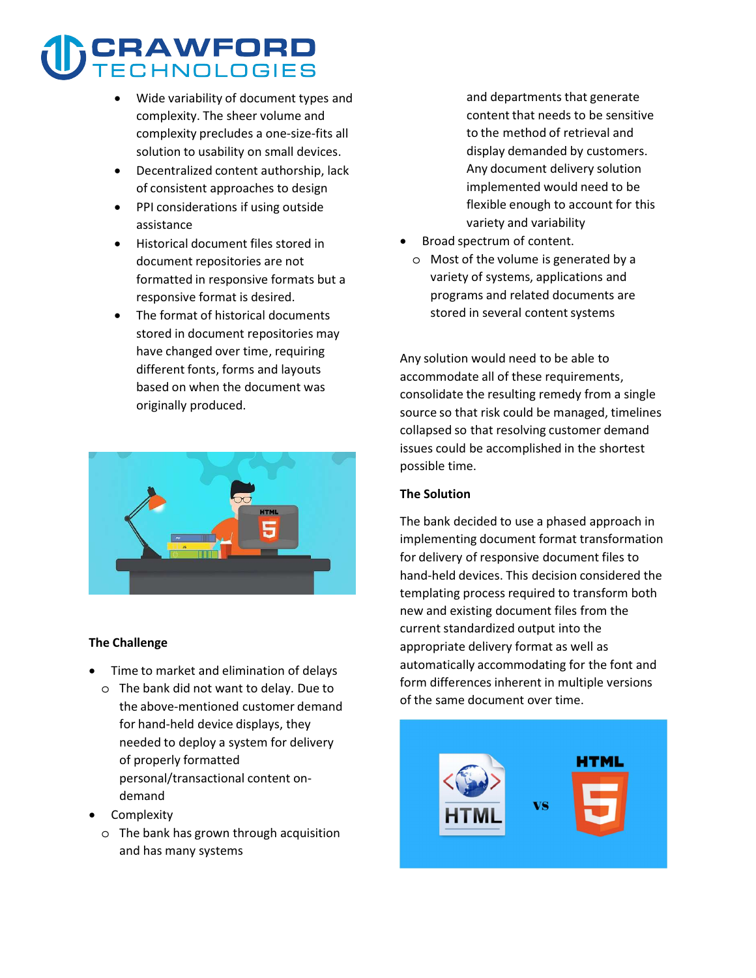# CRAWFORD<br>FECHNOLOGIES

- **Wide variability of document types and complexity. The sheer volume and complexity precludes a one-size-fits all solution to usability on small devices.**
- **Decentralized content authorship, lack of consistent approaches to design**
- **PPI considerations if using outside assistance**
- **Historical document files stored in document repositories are not formatted in responsive formats but a responsive format is desired.**
- **The format of historical documents stored in document repositories may have changed over time, requiring different fonts, forms and layouts based on when the document was originally produced.**



#### **The Challenge**

- **Time to market and elimination of delays**
- o **The bank did not want to delay. Due to the above-mentioned customer demand for hand-held device displays, they needed to deploy a system for delivery of properly formatted personal/transactional content ondemand**
- **•** Complexity
	- o **The bank has grown through acquisition and has many systems**

**and departments that generate content that needs to be sensitive to the method of retrieval and display demanded by customers. Any document delivery solution implemented would need to be flexible enough to account for this variety and variability** 

- $\overline{\phantom{a}}$  **Broad spectrum of content.**
	- o **Most of the volume is generated by a variety of systems, applications and programs and related documents are stored in several content systems**

**Any solution would need to be able to accommodate all of these requirements, consolidate the resulting remedy from a single source so that risk could be managed, timelines collapsed so that resolving customer demand issues could be accomplished in the shortest possible time.** 

#### **The Solution**

**The bank decided to use a phased approach in implementing document format transformation for delivery of responsive document files to hand-held devices. This decision considered the templating process required to transform both new and existing document files from the current standardized output into the appropriate delivery format as well as automatically accommodating for the font and form differences inherent in multiple versions of the same document over time.** 

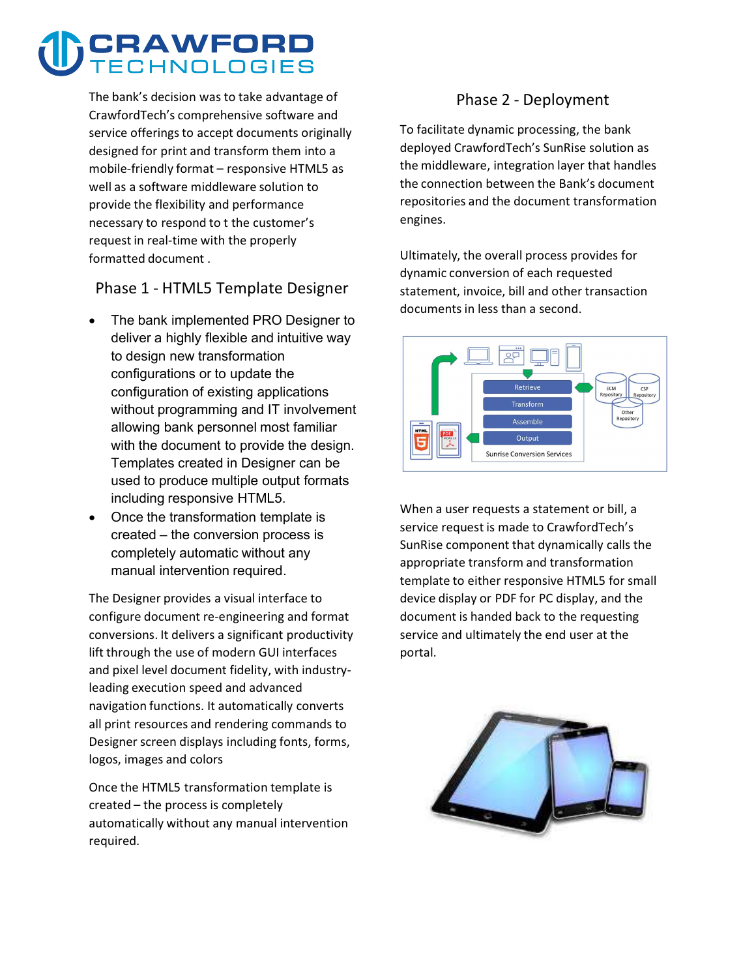# CRAWFORD **JOL OGIES**

**The bank's decision was to take advantage of CrawfordTech's comprehensive software and service offerings to accept documents originally designed for print and transform them into a mobile-friendly format – responsive HTML5 as well as a software middleware solution to provide the flexibility and performance necessary to respond to t the customer's request in real-time with the properly formatted document .** 

**Phase 1 - HTML5 Template Designer**

- $\overline{a}$  The bank implemented PRO Designer to deliver a highly flexible and intuitive way to design new transformation configurations or to update the configuration of existing applications without programming and IT involvement allowing bank personnel most familiar with the document to provide the design. Templates created in Designer can be used to produce multiple output formats including responsive HTML5.
- Once the transformation template is created – the conversion process is completely automatic without any manual intervention required.

**The Designer provides a visual interface to configure document re-engineering and format conversions. It delivers a significant productivity lift through the use of modern GUI interfaces and pixel level document fidelity, with industryleading execution speed and advanced navigation functions. It automatically converts all print resources and rendering commands to Designer screen displays including fonts, forms, logos, images and colors** 

**Once the HTML5 transformation template is created – the process is completely automatically without any manual intervention required.** 

### **Phase 2 - Deployment**

**To facilitate dynamic processing, the bank deployed CrawfordTech's SunRise solution as the middleware, integration layer that handles the connection between the Bank's document repositories and the document transformation engines.** 

**Ultimately, the overall process provides for dynamic conversion of each requested statement, invoice, bill and other transaction documents in less than a second.** 



**When a user requests a statement or bill, a service request is made to CrawfordTech's SunRise component that dynamically calls the appropriate transform and transformation template to either responsive HTML5 for small device display or PDF for PC display, and the document is handed back to the requesting service and ultimately the end user at the portal.**